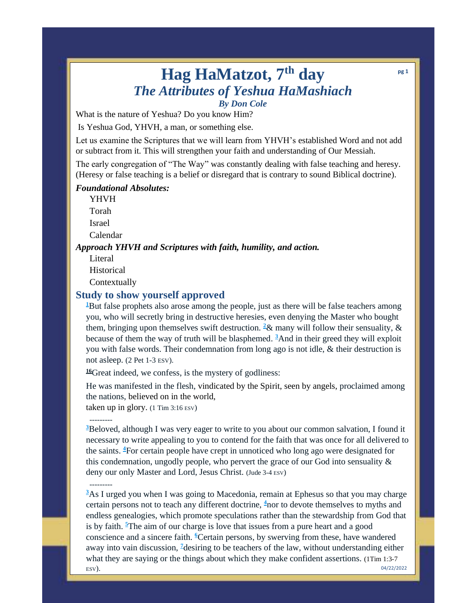# **Hag HaMatzot, 7th day** *The Attributes of Yeshua HaMashiach By Don Cole*

What is the nature of Yeshua? Do you know Him?

Is Yeshua God, YHVH, a man, or something else.

Let us examine the Scriptures that we will learn from YHVH's established Word and not add or subtract from it. This will strengthen your faith and understanding of Our Messiah.

The early congregation of "The Way" was constantly dealing with false teaching and heresy. (Heresy or false teaching is a belief or disregard that is contrary to sound Biblical doctrine).

### *Foundational Absolutes:*

YHVH Torah Israel

Calendar

### *Approach YHVH and Scriptures with faith, humility, and action.*

Literal

---------

---------

Historical

Contextually

### **Study to show yourself approved**

<sup>[1](http://biblehub.com/2_peter/2-1.htm)</sup>But false prophets also arose among the people, just as there will be false teachers among you, who will secretly bring in destructive heresies, even denying the Master who bought them, bringing upon themselves swift destruction. <sup>[2](http://biblehub.com/2_peter/2-2.htm)</sup>& many will follow their sensuality, & because of them the way of truth will be blasphemed. **[3](http://biblehub.com/2_peter/2-3.htm)**And in their greed they will exploit you with false words. Their condemnation from long ago is not idle, & their destruction is not asleep. (2 Pet 1-3 ESV).

**[16](http://biblehub.com/1_timothy/3-16.htm)**Great indeed, we confess, is the mystery of godliness:

He was manifested in the flesh, vindicated by the Spirit, seen by angels, proclaimed among the nations, believed on in the world,

taken up in glory. (1 Tim 3:16 ESV)

**[3](http://biblehub.com/jude/1-3.htm)**Beloved, although I was very eager to write to you about our common salvation, I found it necessary to write appealing to you to contend for the faith that was once for all delivered to the saints. **[4](http://biblehub.com/jude/1-4.htm)**For certain people have crept in unnoticed who long ago were designated for this condemnation, ungodly people, who pervert the grace of our God into sensuality & deny our only Master and Lord, Jesus Christ. (Jude 3-4 ESV)

**[3](http://biblehub.com/1_timothy/1-3.htm)**As I urged you when I was going to Macedonia, remain at Ephesus so that you may charge certain persons not to teach any different doctrine, **[4](http://biblehub.com/1_timothy/1-4.htm)**nor to devote themselves to myths and endless genealogies, which promote speculations rather than the stewardship from God that is by faith. **<sup>5</sup>**[T](http://biblehub.com/1_timothy/1-5.htm)he aim of our charge is love that issues from a pure heart and a good conscience and a sincere faith. **[6](http://biblehub.com/1_timothy/1-6.htm)**Certain persons, by swerving from these, have wandered away into vain discussion, **[7](http://biblehub.com/1_timothy/1-7.htm)**desiring to be teachers of the law, without understanding either what they are saying or the things about which they make confident assertions. (1Tim 1:3-7 ESV). 04/22/2022

**pg 1**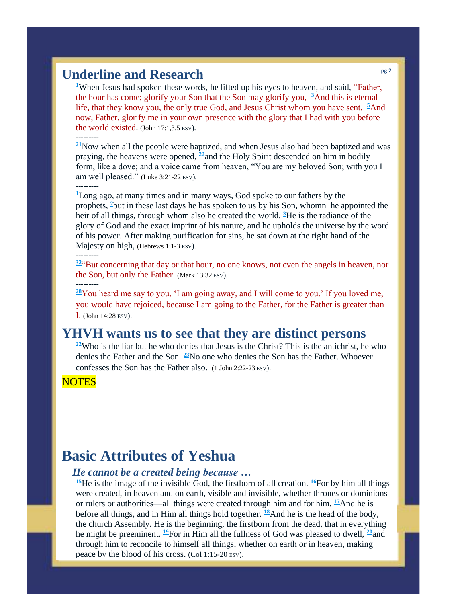## **Underline and Research**

<sup>1</sup>[W](http://biblehub.com/john/17-1.htm)hen Jesus had spoken these words, he lifted up his eyes to heaven, and said, "Father, the hour has come; glorify your Son that the Son may glorify you, **[3](http://biblehub.com/john/17-3.htm)**And this is eternal life, that they know you, the only true God, and Jesus Christ whom you have sent. **<sup>5</sup>**[A](http://biblehub.com/john/17-5.htm)nd now, Father, glorify me in your own presence with the glory that I had with you before the world existed. (John 17:1,3,5 ESV).

**[21](http://biblehub.com/luke/3-21.htm)**Now when all the people were baptized, and when Jesus also had been baptized and was praying, the heavens were opened, **[22](http://biblehub.com/luke/3-22.htm)**and the Holy Spirit descended on him in bodily form, like a dove; and a voice came from heaven, "You are my beloved Son; with you I am well pleased." (Luke 3:21-22 ESV).

---------

---------

**<sup>1</sup>**[L](http://biblehub.com/hebrews/1-1.htm)ong ago, at many times and in many ways, God spoke to our fathers by the prophets, **[2](http://biblehub.com/hebrews/1-2.htm)**but in these last days he has spoken to us by his Son, whomn he appointed the heir of all things, through whom also he created the world. **[3](http://biblehub.com/hebrews/1-3.htm)**He is the radiance of the glory of God and the exact imprint of his nature, and he upholds the universe by the word of his power. After making purification for sins, he sat down at the right hand of the Majesty on high, (Hebrews 1:1-3 ESV).

#### ---------

**[32](http://biblehub.com/mark/13-32.htm)**"But concerning that day or that hour, no one knows, not even the angels in heaven, nor the Son, but only the Father. (Mark 13:32 ESV).

---------

**[28](http://biblehub.com/john/14-28.htm)**You heard me say to you, 'I am going away, and I will come to you.' If you loved me, you would have rejoiced, because I am going to the Father, for the Father is greater than I. (John 14:28 ESV).

### **YHVH wants us to see that they are distinct persons**

**[22](http://biblehub.com/1_john/2-22.htm)**Who is the liar but he who denies that Jesus is the Christ? This is the antichrist, he who denies the Father and the Son. **[23](http://biblehub.com/1_john/2-23.htm)**No one who denies the Son has the Father. Whoever confesses the Son has the Father also. (1 John 2:22-23 ESV).

**NOTES** 

# **Basic Attributes of Yeshua**

### *He cannot be a created being because …*

**[15](http://biblehub.com/colossians/1-15.htm)**He is the image of the invisible God, the firstborn of all creation. **[16](http://biblehub.com/colossians/1-16.htm)**For by him all things were created, in heaven and on earth, visible and invisible, whether thrones or dominions or rulers or authorities—all things were created through him and for him.  $\frac{17}{2}$  $\frac{17}{2}$  $\frac{17}{2}$ And he is before all things, and in Him all things hold together. **[18](http://biblehub.com/colossians/1-18.htm)**And he is the head of the body, the church Assembly. He is the beginning, the firstborn from the dead, that in everything he might be preeminent. **[19](http://biblehub.com/colossians/1-19.htm)**For in Him all the fullness of God was pleased to dwell, **[20](http://biblehub.com/colossians/1-20.htm)**and through him to reconcile to himself all things, whether on earth or in heaven, making peace by the blood of his cross. (Col 1:15-20 ESV).

 $G_{\rm eff}$  might now be made known to the rulers and authorities in the heavenly simple  $\mu$